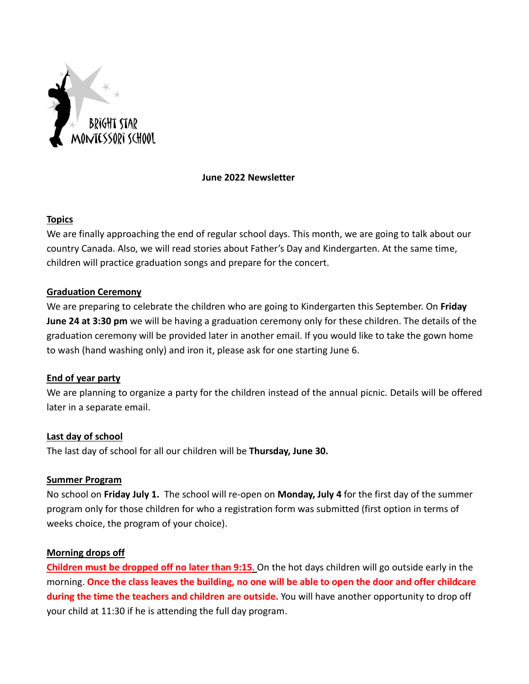

### **June 2022 Newsletter**

### **Topics**

We are finally approaching the end of regular school days. This month, we are going to talk about our country Canada. Also, we will read stories about Father's Day and Kindergarten. At the same time, children will practice graduation songs and prepare for the concert.

# **Graduation Ceremony**

We are preparing to celebrate the children who are going to Kindergarten this September. On **Friday June 24 at 3:30 pm** we will be having a graduation ceremony only for these children. The details of the graduation ceremony will be provided later in another email. If you would like to take the gown home to wash (hand washing only) and iron it, please ask for one starting June 6.

# **End of year party**

We are planning to organize a party for the children instead of the annual picnic. Details will be offered later in a separate email.

# **Last day of school**

The last day of school for all our children will be **Thursday, June 30.**

#### **Summer Program**

No school on **Friday July 1.** The school will re-open on **Monday, July 4** for the first day of the summer program only for those children for who a registration form was submitted (first option in terms of weeks choice, the program of your choice).

# **Morning drops off**

**Children must be dropped off no later than 9:15**. On the hot days children will go outside early in the morning. **Once the class leaves the building, no one will be able to open the door and offer childcare during the time the teachers and children are outside.** You will have another opportunity to drop off your child at 11:30 if he is attending the full day program.